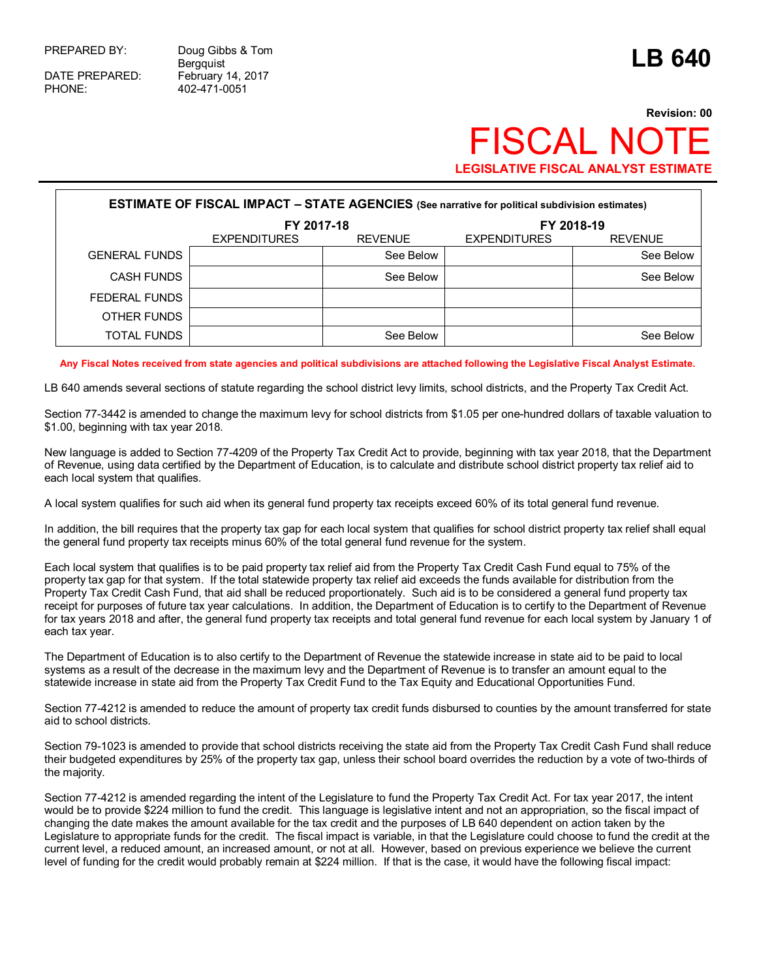DATE PREPARED: February 14, 2017<br>PHONE: 402-471-0051

PREPARED BY: Doug Gibbs & Tom Doug Gibbs & Tom<br>Bergquist **LB 640** PHONE: 402-471-0051

# **Revision: 00 FISCAL NO LEGISLATIVE FISCAL ANALYST ESTIMATE**

| <b>ESTIMATE OF FISCAL IMPACT - STATE AGENCIES</b> (See narrative for political subdivision estimates) |                          |                |                     |                |  |  |  |
|-------------------------------------------------------------------------------------------------------|--------------------------|----------------|---------------------|----------------|--|--|--|
|                                                                                                       | FY 2017-18<br>FY 2018-19 |                |                     |                |  |  |  |
|                                                                                                       | <b>EXPENDITURES</b>      | <b>REVENUE</b> | <b>EXPENDITURES</b> | <b>REVENUE</b> |  |  |  |
| <b>GENERAL FUNDS</b>                                                                                  |                          | See Below      |                     | See Below      |  |  |  |
| <b>CASH FUNDS</b>                                                                                     |                          | See Below      |                     | See Below      |  |  |  |
| FEDERAL FUNDS                                                                                         |                          |                |                     |                |  |  |  |
| OTHER FUNDS                                                                                           |                          |                |                     |                |  |  |  |
| <b>TOTAL FUNDS</b>                                                                                    |                          | See Below      |                     | See Below      |  |  |  |

### **Any Fiscal Notes received from state agencies and political subdivisions are attached following the Legislative Fiscal Analyst Estimate.**

LB 640 amends several sections of statute regarding the school district levy limits, school districts, and the Property Tax Credit Act.

Section 77-3442 is amended to change the maximum levy for school districts from \$1.05 per one-hundred dollars of taxable valuation to \$1.00, beginning with tax year 2018.

New language is added to Section 77-4209 of the Property Tax Credit Act to provide, beginning with tax year 2018, that the Department of Revenue, using data certified by the Department of Education, is to calculate and distribute school district property tax relief aid to each local system that qualifies.

A local system qualifies for such aid when its general fund property tax receipts exceed 60% of its total general fund revenue.

In addition, the bill requires that the property tax gap for each local system that qualifies for school district property tax relief shall equal the general fund property tax receipts minus 60% of the total general fund revenue for the system.

Each local system that qualifies is to be paid property tax relief aid from the Property Tax Credit Cash Fund equal to 75% of the property tax gap for that system. If the total statewide property tax relief aid exceeds the funds available for distribution from the Property Tax Credit Cash Fund, that aid shall be reduced proportionately. Such aid is to be considered a general fund property tax receipt for purposes of future tax year calculations. In addition, the Department of Education is to certify to the Department of Revenue for tax years 2018 and after, the general fund property tax receipts and total general fund revenue for each local system by January 1 of each tax year.

The Department of Education is to also certify to the Department of Revenue the statewide increase in state aid to be paid to local systems as a result of the decrease in the maximum levy and the Department of Revenue is to transfer an amount equal to the statewide increase in state aid from the Property Tax Credit Fund to the Tax Equity and Educational Opportunities Fund.

Section 77-4212 is amended to reduce the amount of property tax credit funds disbursed to counties by the amount transferred for state aid to school districts.

Section 79-1023 is amended to provide that school districts receiving the state aid from the Property Tax Credit Cash Fund shall reduce their budgeted expenditures by 25% of the property tax gap, unless their school board overrides the reduction by a vote of two-thirds of the majority.

Section 77-4212 is amended regarding the intent of the Legislature to fund the Property Tax Credit Act. For tax year 2017, the intent would be to provide \$224 million to fund the credit. This language is legislative intent and not an appropriation, so the fiscal impact of changing the date makes the amount available for the tax credit and the purposes of LB 640 dependent on action taken by the Legislature to appropriate funds for the credit. The fiscal impact is variable, in that the Legislature could choose to fund the credit at the current level, a reduced amount, an increased amount, or not at all. However, based on previous experience we believe the current level of funding for the credit would probably remain at \$224 million. If that is the case, it would have the following fiscal impact: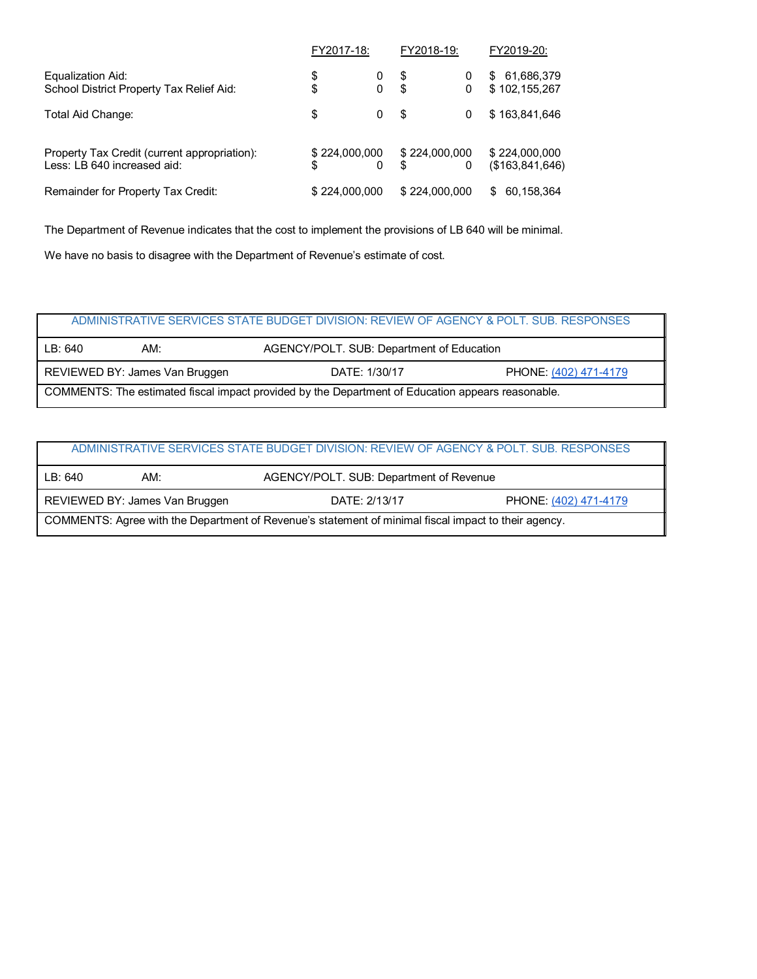|                                                                             | FY2017-18:          |        | FY2018-19:  |               | FY2019-20:                        |
|-----------------------------------------------------------------------------|---------------------|--------|-------------|---------------|-----------------------------------|
| Equalization Aid:<br>School District Property Tax Relief Aid:               | \$<br>\$            | 0<br>0 | $\mathbf S$ | 0<br>0        | 61,686,379<br>\$<br>\$102,155,267 |
| Total Aid Change:                                                           | \$                  | 0      | \$          | 0             | \$163,841,646                     |
| Property Tax Credit (current appropriation):<br>Less: LB 640 increased aid: | \$224,000,000<br>\$ |        | \$          | \$224,000,000 | \$224,000,000<br>(\$163,841,646)  |
| Remainder for Property Tax Credit:                                          | \$224,000,000       |        |             | \$224,000,000 | 60,158,364<br>\$                  |

The Department of Revenue indicates that the cost to implement the provisions of LB 640 will be minimal.

We have no basis to disagree with the Department of Revenue's estimate of cost.

## ADMINISTRATIVE SERVICES STATE BUDGET DIVISION: REVIEW OF AGENCY & POLT. SUB. RESPONSES

| LB: 640<br>AGENCY/POLT. SUB: Department of Education<br>AM:                                       |  |  |  |  |  |
|---------------------------------------------------------------------------------------------------|--|--|--|--|--|
| REVIEWED BY: James Van Bruggen<br>DATE: 1/30/17<br>PHONE: (402) 471-4179                          |  |  |  |  |  |
| COMMENTS: The estimated fiscal impact provided by the Department of Education appears reasonable. |  |  |  |  |  |

| ADMINISTRATIVE SERVICES STATE BUDGET DIVISION: REVIEW OF AGENCY & POLT. SUB. RESPONSES               |     |                                         |  |  |  |
|------------------------------------------------------------------------------------------------------|-----|-----------------------------------------|--|--|--|
| LB: 640                                                                                              | AM: | AGENCY/POLT. SUB: Department of Revenue |  |  |  |
| REVIEWED BY: James Van Bruggen<br>DATE: 2/13/17<br>PHONE: (402) 471-4179                             |     |                                         |  |  |  |
| COMMENTS: Agree with the Department of Revenue's statement of minimal fiscal impact to their agency. |     |                                         |  |  |  |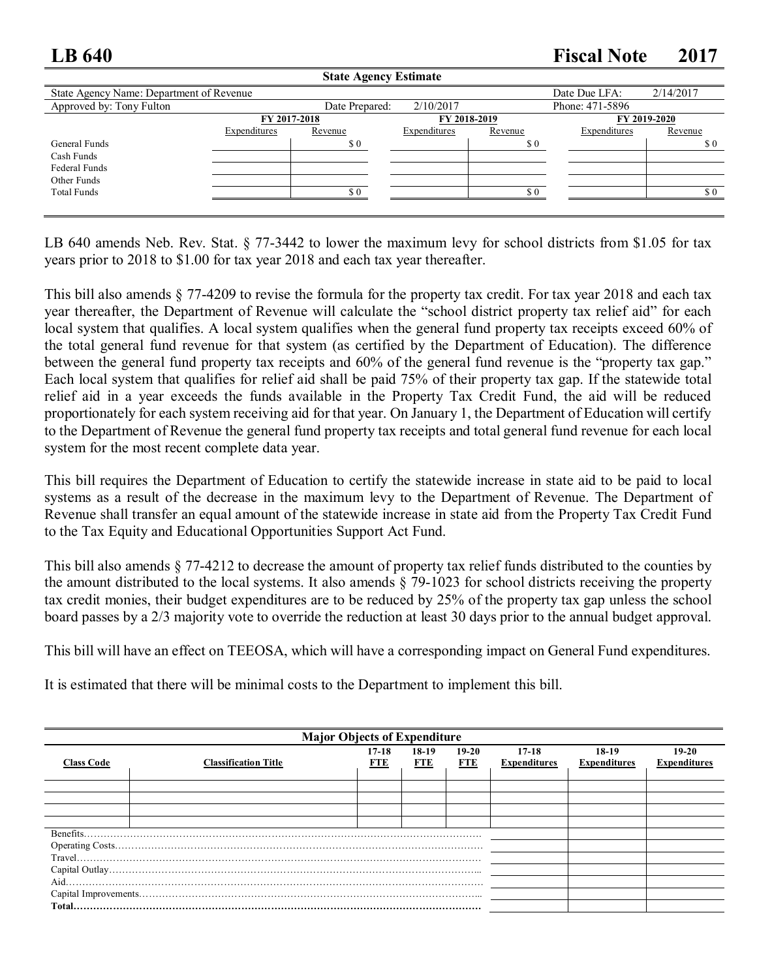## **LB 640 Fiscal Note 2017**

| <b>State Agency Estimate</b>             |              |                |              |         |                 |              |  |
|------------------------------------------|--------------|----------------|--------------|---------|-----------------|--------------|--|
| State Agency Name: Department of Revenue |              |                |              |         | Date Due LFA:   | 2/14/2017    |  |
| Approved by: Tony Fulton                 |              | Date Prepared: | 2/10/2017    |         | Phone: 471-5896 |              |  |
|                                          | FY 2017-2018 |                | FY 2018-2019 |         |                 | FY 2019-2020 |  |
|                                          | Expenditures | Revenue        | Expenditures | Revenue | Expenditures    | Revenue      |  |
| General Funds                            |              | \$0            |              | \$0     |                 | \$0          |  |
| Cash Funds                               |              |                |              |         |                 |              |  |
| Federal Funds                            |              |                |              |         |                 |              |  |
| Other Funds                              |              |                |              |         |                 |              |  |
| <b>Total Funds</b>                       |              | \$ 0           |              | \$0     |                 | \$0          |  |
|                                          |              |                |              |         |                 |              |  |

LB 640 amends Neb. Rev. Stat. § 77-3442 to lower the maximum levy for school districts from \$1.05 for tax years prior to 2018 to \$1.00 for tax year 2018 and each tax year thereafter.

This bill also amends § 77-4209 to revise the formula for the property tax credit. For tax year 2018 and each tax year thereafter, the Department of Revenue will calculate the "school district property tax relief aid" for each local system that qualifies. A local system qualifies when the general fund property tax receipts exceed 60% of the total general fund revenue for that system (as certified by the Department of Education). The difference between the general fund property tax receipts and 60% of the general fund revenue is the "property tax gap." Each local system that qualifies for relief aid shall be paid 75% of their property tax gap. If the statewide total relief aid in a year exceeds the funds available in the Property Tax Credit Fund, the aid will be reduced proportionately for each system receiving aid for that year. On January 1, the Department of Education will certify to the Department of Revenue the general fund property tax receipts and total general fund revenue for each local system for the most recent complete data year.

This bill requires the Department of Education to certify the statewide increase in state aid to be paid to local systems as a result of the decrease in the maximum levy to the Department of Revenue. The Department of Revenue shall transfer an equal amount of the statewide increase in state aid from the Property Tax Credit Fund to the Tax Equity and Educational Opportunities Support Act Fund.

This bill also amends § 77-4212 to decrease the amount of property tax relief funds distributed to the counties by the amount distributed to the local systems. It also amends § 79-1023 for school districts receiving the property tax credit monies, their budget expenditures are to be reduced by 25% of the property tax gap unless the school board passes by a 2/3 majority vote to override the reduction at least 30 days prior to the annual budget approval.

This bill will have an effect on TEEOSA, which will have a corresponding impact on General Fund expenditures.

It is estimated that there will be minimal costs to the Department to implement this bill.

| <b>Major Objects of Expenditure</b> |                             |                |                |                       |                                  |                              |                                |
|-------------------------------------|-----------------------------|----------------|----------------|-----------------------|----------------------------------|------------------------------|--------------------------------|
| <b>Class Code</b>                   | <b>Classification Title</b> | $17-18$<br>FTE | $18-19$<br>FTE | $19-20$<br><b>FTE</b> | $17 - 18$<br><b>Expenditures</b> | 18-19<br><b>Expenditures</b> | $19-20$<br><b>Expenditures</b> |
|                                     |                             |                |                |                       |                                  |                              |                                |
|                                     |                             |                |                |                       |                                  |                              |                                |
|                                     |                             |                |                |                       |                                  |                              |                                |
|                                     |                             |                |                |                       |                                  |                              |                                |
| Benefits.                           |                             |                |                |                       |                                  |                              |                                |
|                                     |                             |                |                |                       |                                  |                              |                                |
|                                     |                             |                |                |                       |                                  |                              |                                |
|                                     |                             |                |                |                       |                                  |                              |                                |
|                                     |                             |                |                |                       |                                  |                              |                                |
|                                     |                             |                |                |                       |                                  |                              |                                |
|                                     |                             |                |                |                       |                                  |                              |                                |